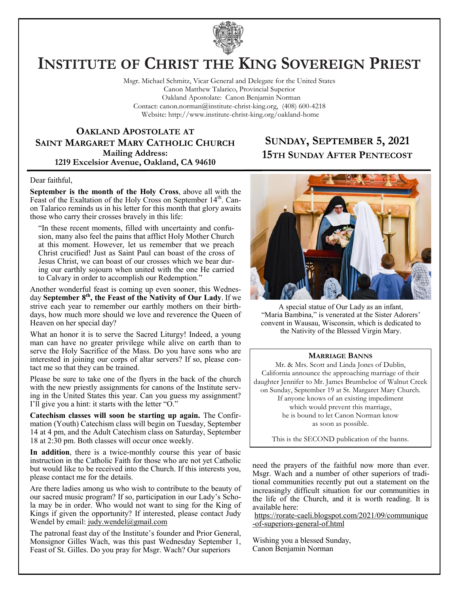

# **INSTITUTE OF CHRIST THE KING SOVEREIGN PRIEST**

Msgr. Michael Schmitz, Vicar General and Delegate for the United States Canon Matthew Talarico, Provincial Superior Oakland Apostolate: Canon Benjamin Norman Contact: canon.norman@institute-christ-king.org, (408) 600-4218 Website: http://www.institute-christ-king.org/oakland-home

**OAKLAND APOSTOLATE AT SAINT MARGARET MARY CATHOLIC CHURCH Mailing Address: 1219 Excelsior Avenue, Oakland, CA 94610**

### **SUNDAY, SEPTEMBER 5, 2021 15TH SUNDAY AFTER PENTECOST**

#### Dear faithful,

**September is the month of the Holy Cross**, above all with the Feast of the Exaltation of the Holy Cross on September 14<sup>th</sup>. Canon Talarico reminds us in his letter for this month that glory awaits those who carry their crosses bravely in this life:

"In these recent moments, filled with uncertainty and confusion, many also feel the pains that afflict Holy Mother Church at this moment. However, let us remember that we preach Christ crucified! Just as Saint Paul can boast of the cross of Jesus Christ, we can boast of our crosses which we bear during our earthly sojourn when united with the one He carried to Calvary in order to accomplish our Redemption."

Another wonderful feast is coming up even sooner, this Wednesday **September 8th, the Feast of the Nativity of Our Lady**. If we strive each year to remember our earthly mothers on their birthdays, how much more should we love and reverence the Queen of Heaven on her special day?

What an honor it is to serve the Sacred Liturgy! Indeed, a young man can have no greater privilege while alive on earth than to serve the Holy Sacrifice of the Mass. Do you have sons who are interested in joining our corps of altar servers? If so, please contact me so that they can be trained.

Please be sure to take one of the flyers in the back of the church with the new priestly assignments for canons of the Institute serving in the United States this year. Can you guess my assignment? I'll give you a hint: it starts with the letter "O."

**Catechism classes will soon be starting up again.** The Confirmation (Youth) Catechism class will begin on Tuesday, September 14 at 4 pm, and the Adult Catechism class on Saturday, September 18 at 2:30 pm. Both classes will occur once weekly.

**In addition**, there is a twice-monthly course this year of basic instruction in the Catholic Faith for those who are not yet Catholic but would like to be received into the Church. If this interests you, please contact me for the details.

Are there ladies among us who wish to contribute to the beauty of our sacred music program? If so, participation in our Lady's Schola may be in order. Who would not want to sing for the King of Kings if given the opportunity? If interested, please contact Judy Wendel by email: [judy.wendel@gmail.com](mailto:judy.wendel@gmail.com)

The patronal feast day of the Institute's founder and Prior General, Monsignor Gilles Wach, was this past Wednesday September 1, Feast of St. Gilles. Do you pray for Msgr. Wach? Our superiors



A special statue of Our Lady as an infant, "Maria Bambina," is venerated at the Sister Adorers' convent in Wausau, Wisconsin, which is dedicated to the Nativity of the Blessed Virgin Mary.

#### **MARRIAGE BANNS**

Mr. & Mrs. Scott and Linda Jones of Dublin, California announce the approaching marriage of their daughter Jennifer to Mr. James Brumbeloe of Walnut Creek on Sunday, September 19 at St. Margaret Mary Church. If anyone knows of an existing impediment which would prevent this marriage, he is bound to let Canon Norman know as soon as possible.

This is the SECOND publication of the banns.

need the prayers of the faithful now more than ever. Msgr. Wach and a number of other superiors of traditional communities recently put out a statement on the increasingly difficult situation for our communities in the life of the Church, and it is worth reading. It is available here:

[https://rorate-caeli.blogspot.com/2021/09/communique](https://rorate-caeli.blogspot.com/2021/09/communique-of-superiors-general-of.html) [-of-superiors-general-of.html](https://rorate-caeli.blogspot.com/2021/09/communique-of-superiors-general-of.html)

Wishing you a blessed Sunday, Canon Benjamin Norman